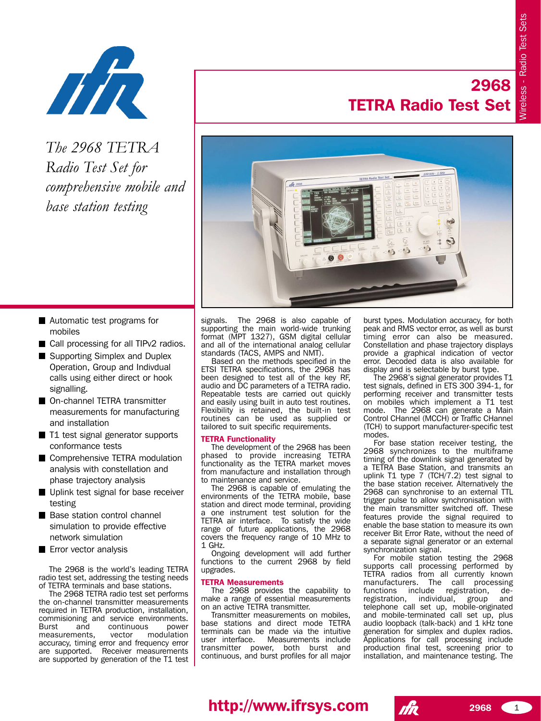

*The 2968 TETRA Radio Test Set for comprehensive mobile and base station testing*

# **2968 TETRA Radio Test Set**



- **Automatic test programs for** mobiles
- Call processing for all TIPv2 radios.
- Supporting Simplex and Duplex Operation, Group and Indivdual calls using either direct or hook signalling.
- On-channel TETRA transmitter measurements for manufacturing and installation
- T1 test signal generator supports conformance tests
- Comprehensive TETRA modulation analysis with constellation and phase trajectory analysis
- Uplink test signal for base receiver testing
- Base station control channel simulation to provide effective network simulation
- **Exercicle Error vector analysis**

The 2968 is the world's leading TETRA radio test set, addressing the testing needs of TETRA terminals and base stations.

The 2968 TETRA radio test set performs the on-channel transmitter measurements required in TETRA production, installation, commisioning and service environments. Burst and continuous power<br>measurements, vector modulation measurements, accuracy, timing error and frequency error are supported. Receiver measurements are supported by generation of the T1 test

signals. The 2968 is also capable of supporting the main world-wide trunking format (MPT 1327), GSM digital cellular and all of the international analog cellular standards (TACS, AMPS and NMT).

Based on the methods specified in the ETSI TETRA specifications, the 2968 has been designed to test all of the key RF. audio and DC parameters of a TETRA radio. Repeatable tests are carried out quickly and easily using built in auto test routines. Flexibility is retained, the built-in test routines can be used as supplied or tailored to suit specific requirements.

### **TETRA Functionality**

The development of the 2968 has been phased to provide increasing TETRA functionality as the TETRA market moves from manufacture and installation through to maintenance and service.

The 2968 is capable of emulating the environments of the TETRA mobile, base station and direct mode terminal, providing a one instrument test solution for the TETRA air interface. To satisfy the wide range of future applications, the 2968 covers the frequency range of 10 MHz to 1 GHz.

Ongoing development will add further functions to the current 2968 by field upgrades.

### **TETRA Measurements**

The 2968 provides the capability to make a range of essential measurements on an active TETRA transmitter.

Transmitter measurements on mobiles, base stations and direct mode TETRA terminals can be made via the intuitive Measurements include transmitter power, both burst and continuous, and burst profiles for all major

burst types. Modulation accuracy, for both peak and RMS vector error, as well as burst timing error can also be measured. Constellation and phase trajectory displays provide a graphical indication of vector error. Decoded data is also available for display and is selectable by burst type.

The 2968ís signal generator provides T1 test signals, defined in ETS 300 394-1, for performing receiver and transmitter tests on mobiles which implement a T1 test<br>mode. The 2968 can generate a Main The 2968 can generate a Main Control CHannel (MCCH) or Traffic CHannel (TCH) to support manufacturer-specific test modes.

For base station receiver testing, the 2968 synchronizes to the multiframe timing of the downlink signal generated by a TETRA Base Station, and transmits an uplink T1 type 7 (TCH/7.2) test signal to the base station receiver. Alternatively the 2968 can synchronise to an external TTL trigger pulse to allow synchronisation with the main transmitter switched off. These features provide the signal required to enable the base station to measure its own receiver Bit Error Rate, without the need of a separate signal generator or an external synchronization signal.

For mobile station testing the 2968 supports call processing performed by TETRA radios from all currently known manufacturers. The call processing functions include registration, de-<br>registration, individual, group and registration, individual, group and telephone call set up, mobile-originated and mobile-terminated call set up, plus audio loopback (talk-back) and 1 kHz tone generation for simplex and duplex radios. Applications for call processing include production final test, screening prior to installation, and maintenance testing. The

# **http://www.ifrsys.com** *1k* 2968 1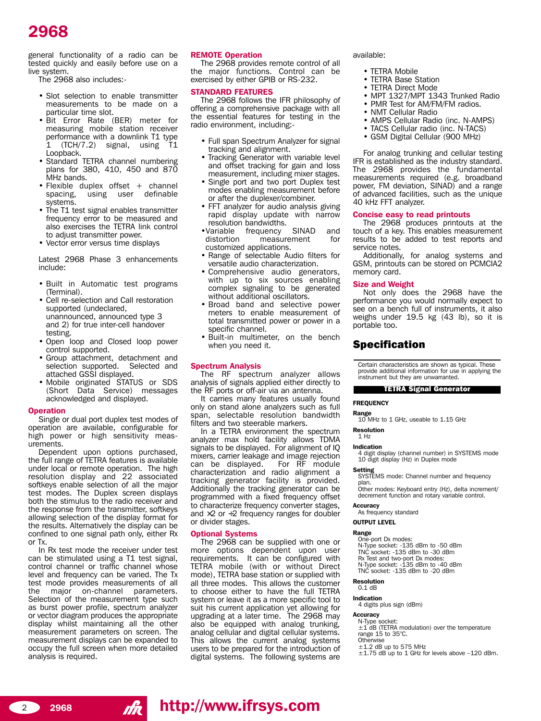general functionality of a radio can be tested quickly and easily before use on a live system.

The 2968 also includes:-

- Slot selection to enable transmitter measurements to be made on a particular time slot.
- Bit Error Rate (BER) meter for measuring mobile station receiver performance with a downlink T1 type 1 (TCH/7.2) signal, using T1 Loopback.
- Standard TETRA channel numbering plans for 380, 410, 450 and 870 MHz bands.
- $\bullet$  Flexible duplex offset  $+$  channel spacing, using user definable systems.
- The T1 test signal enables transmitter frequency error to be measured and also exercises the TETRA link control to adjust transmitter power.
- Vector error versus time displays

Latest 2968 Phase 3 enhancements include:

- Built in Automatic test programs (Terminal).
- Cell re-selection and Call restoration supported (undeclared, unannounced, announced type 3 and 2) for true inter-cell handover testing.
- Open loop and Closed loop power control supported.
- Group attachment, detachment and selection supported. Selected and attached GSSI displayed.
- Mobile originated STATUS or SDS (Short Data Service) messages acknowledged and displayed.

#### **Operation**

Single or dual port duplex test modes of operation are available, configurable for high power or high sensitivity measurements.

Dependent upon options purchased, the full range of TETRA features is available under local or remote operation. The high resolution display and 22 associated softkeys enable selection of all the major test modes. The Duplex screen displays both the stimulus to the radio receiver and the response from the transmitter, softkeys allowing selection of the display format for the results. Alternatively the display can be confined to one signal path only, either Rx or Tx.

In Rx test mode the receiver under test can be stimulated using a T1 test signal, control channel or traffic channel whose level and frequency can be varied. The Tx test mode provides measurements of all the major on-channel parameters. Selection of the measurement type such as burst power profile, spectrum analyzer or vector diagram produces the appropriate display whilst maintaining all the other measurement parameters on screen. The measurement displays can be expanded to occupy the full screen when more detailed analysis is required.

### **REMOTE Operation**

The 2968 provides remote control of all the major functions. Control can be exercised by either GPIB or RS-232.

### **STANDARD FEATURES**

The 2968 follows the IFR philosophy of offering a comprehensive package with all the essential features for testing in the radio environment, including:-

- Full span Spectrum Analyzer for signal tracking and alignment.
- Tracking Generator with variable level and offset tracking for gain and loss measurement, including mixer stages.
- Single port and two port Duplex test modes enabling measurement before or after the duplexer/combiner.
- FFT analyzer for audio analysis giving rapid display update with narrow resolution bandwidths.<br>•Variable frequency
- frequency SINAD and distortion measurement for customized applications.
- Range of selectable Audio filters for versatile audio characterization.
- Comprehensive audio generators, with up to six sources enabling complex signaling to be generated without additional oscillators.
- Broad band and selective power meters to enable measurement of total transmitted power or power in a specific channel.
- Built-in multimeter, on the bench when you need it.

#### **Spectrum Analysis**

The RF spectrum analyzer allows analysis of signals applied either directly to the RF ports or off-air via an antenna.

It carries many features usually found only on stand alone analyzers such as full span, selectable resolution bandwidth filters and two steerable markers.

In a TETRA environment the spectrum analyzer max hold facility allows TDMA signals to be displayed. For alignment of IQ mixers, carrier leakage and image rejection<br>can be displayed. For RF module can be displayed. characterization and radio alignment a tracking generator facility is provided. Additionally the tracking generator can be programmed with a fixed frequency offset to characterize frequency converter stages, and  $\times$ 2 or  $\div$ 2 frequency ranges for doubler or divider stages.

#### **Optional Systems**

The 2968 can be supplied with one or more options dependent upon user requirements. It can be configured with TETRA mobile (with or without Direct mode), TETRA base station or supplied with all three modes. This allows the customer to choose either to have the full TETRA system or leave it as a more specific tool to suit his current application yet allowing for upgrading at a later time. The 2968 may also be equipped with analog trunking, analog cellular and digital cellular systems. This allows the current analog systems users to be prepared for the introduction of digital systems. The following systems are available:

- TETRA Mobile
- TETRA Base Station
- TETRA Direct Mode
- MPT 1327/MPT 1343 Trunked Radio
- PMR Test for AM/FM/FM radios.
- NMT Cellular Radio
- AMPS Cellular Radio (inc. N-AMPS)
- TACS Cellular radio (inc. N-TACS)
- GSM Digital Cellular (900 MHz)

For analog trunking and cellular testing IFR is established as the industry standard. The 2968 provides the fundamental measurements required (e.g. broadband power, FM deviation, SINAD) and a range of advanced facilities, such as the unique 40 kHz FFT analyzer.

### **Concise easy to read printouts**

The 2968 produces printouts at the touch of a key. This enables measurement results to be added to test reports and service notes.

Additionally, for analog systems and GSM, printouts can be stored on PCMCIA2 memory card.

### **Size and Weight**

Not only does the 2968 have the performance you would normally expect to see on a bench full of instruments, it also weighs under 19.5 kg (43 lb), so it is portable too.

### Specification

Certain characteristics are shown as typical. These provide additional information for use in applying the instrument but they are unwarranted.

#### TETRA Signal Generator

#### **FREQUENCY**

**Range** 10 MHz to 1 GHz, useable to 1.15 GHz

#### **Resolution** 1 Hz

**Indication**

4 digit display (channel number) in SYSTEMS mode 10 digit display (Hz) in Duplex mode

**Setting** SYSTEMS mode: Channel number and frequency plan.

Other modes: Keyboard entry (Hz), delta increment/ decrement function and rotary variable control.

#### **Accuracy**

As frequency standard

# **OUTPUT LEVEL**

**Range** One-port Dx modes:

N-Type socket: -135 dBm to -50 dBm TNC socket: -135 dBm to -30 dBm

Rx Test and two-port Dx modes: N-Type socket: -135 dBm to -40 dBm

TNC socket: -135 dBm to -20 dBm

#### **Resolution** 0.1 dB

**Indication** 4 digits plus sign (dBm)

### **Accuracy**

N-Type socket: ±1 dB (TETRA modulation) over the temperature range 15 to 35°C.

**Otherwise** 

 $±1.2$  dB up to 575 MHz

 $\pm$ 1.75 dB up to 1 GHz for levels above  $-120$  dBm.

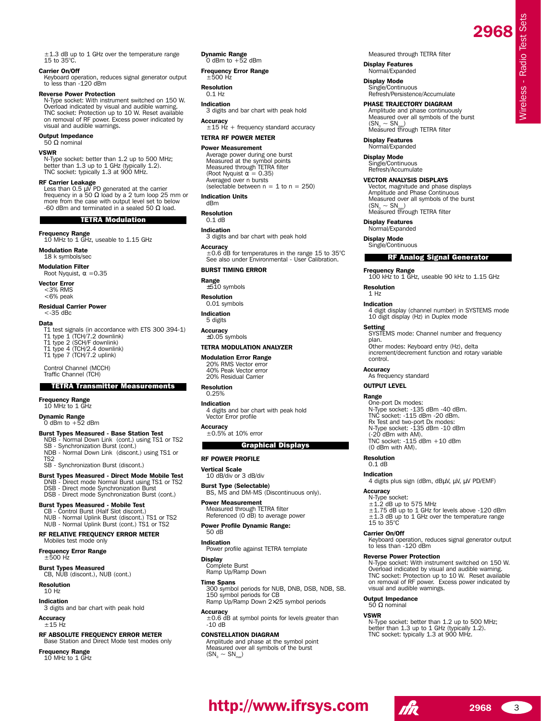±1.3 dB up to 1 GHz over the temperature range 15 to 35°C.

#### **Carrier On/Off**

Keyboard operation, reduces signal generator output to less than -120 dBm

#### **Reverse Power Protection**

N-Type socket: With instrument switched on 150 W. Overload indicated by visual and audible warning. TNC socket: Protection up to 10 W. Reset available on removal of RF power. Excess power indicated by visual and audible warnings.

# **Output Impedance**<br>50 Ω nominal

#### **VSWR**

N-Type socket: better than 1.2 up to 500 MHz; better than 1.3 up to 1 GHz (typically 1.2). TNC socket: typically 1.3 at 900 MHz.

**RF Carrier Leakage**<br>Less than 0.5 μV PD generated at the carrier<br>frequency in a 50 Ω load by a 2 turn loop 25 mm or more from the case with output level set to below -60 dBm and terminated in a sealed 50  $\Omega$  load.

# TETRA Modulation

**Frequency Range** 10 MHz to 1 GHz, useable to 1.15 GHz

#### **Modulation Rate** 18 k symbols/sec

**Modulation Filter** Root Nyquist,  $\alpha = 0.35$ 

**Vector Error** <3% RMS

<6% peak **Residual Carrier Power** 

#### $<$ -35 dBc

#### **Data**

T1 test signals (in accordance with ETS 300 394-1)

- 
- T1 type 1 (TCH/7.2 downlink)<br>T1 type 2 (SCH/F downlink)<br>T1 type 4 (TCH/2.4 downlink)
- T1 type 7 (TCH/7.2 uplink)

Control Channel (MCCH) Traffic Channel (TCH)

#### TETRA Transmitter Measurements

#### **Frequency Range**

10 MHz to 1 GHz

**Dynamic Range**<br>
0 dBm to +52 dBm

### **Burst Types Measured - Base Station Test**

NDB - Normal Down Link (cont.) using TS1 or TS2 SB - Synchronization Burst (cont.) NDB - Normal Down Link (discont.) using TS1 or TS2

SB - Synchronization Burst (discont.)

**Burst Types Measured - Direct Mode Mobile Test** DNB - Direct mode Normal Burst using TS1 or TS2 DSB - Direct mode Synchronization Burst

DSB - Direct mode Synchronization Burst (cont.)

### **Burst Types Measured - Mobile Test**

CB - Control Burst (Half Slot discont.) NUB - Normal Uplink Burst (discont.) TS1 or TS2 NUB - Normal Uplink Burst (cont.) TS1 or TS2

#### **RF RELATIVE FREQUENCY ERROR METER** Mobiles test mode only

**Frequency Error Range** ±500 Hz

**Burst Types Measured** CB, NUB (discont.), NUB (cont.)

**Resolution** 10 Hz

# **Indication**

3 digits and bar chart with peak hold

**Accuracy**

### $±15$  Hz

**RF ABSOLUTE FREQUENCY ERROR METER** Base Station and Direct Mode test modes only

**Frequency Range** 10 MHz to 1 GHz **Dynamic Range**<br>
0 dBm to +52 dBm

**Frequency Error Range**  $±500$  Hz

#### **Resolution**

 $0.1$  Hz

# **Indication**

3 digits and bar chart with peak hold **Accuracy**

 $±15$  Hz + frequency standard accuracy

#### **TETRA RF POWER METER**

#### **Power Measurement**

Average power during one burst Measured at the symbol points Measured through TETRA filter (Root Nyquist  $\alpha = 0.35$ ) Averaged over n bursts (selectable between  $n = 1$  to  $n = 250$ )

#### **Indication Units** dBm

**Resolution**

#### 0.1 dB **Indication**

3 digits and bar chart with peak hold

**Accuracy** ±0.6 dB for temperatures in the range 15 to 35°C See also under Environmental - User Calibration.

#### **BURST TIMING ERROR**

**Range** ±510 symbols

**Resolution** 0.01 symbols

#### **Indication** 5 digits

**Accuracy**

## $\pm 0.05$  symbols

# **TETRA MODULATION ANALYZER**

**Modulation Error Range** 20% RMS Vector error 40% Peak Vector error 20% Residual Carrier

#### **Resolution** 0.25%

#### **Indication** 4 digits and bar chart with peak hold

Vector Error profile

**Accuracy** ±0.5% at 10% error

#### Graphical Displays

**RF POWER PROFILE**

#### **Vertical Scale** 10 dB/div or 3 dB/div

**Burst Type (Selectable)** BS, MS and DM-MS (Discontinuous only).

**Power Measurement** Measured through TETRA filter Referenced (0 dB) to average power

#### **Power Profile Dynamic Range:** 50 dB

## **Indication**

Power profile against TETRA template

# **Display** Complete Burst

Ramp Up/Ramp Down

#### **Time Spans**

300 symbol periods for NUB, DNB, DSB, NDB, SB. 150 symbol periods for CB Ramp Up/Ramp Down 2×25 symbol periods

**Accuracy** ±0.6 dB at symbol points for levels greater than -10 dB

### **CONSTELLATION DIAGRAM**

Amplitude and phase at the symbol point Measured over all symbols of the burst  $(SN_0 \sim SN_{\text{max}})$ 

Measured through TETRA filter

**2968**

Wireless - Radio Test Sets

**Nireless - Radio Test Sets** 

**Display Features** Normal/Expanded

**Display Mode** Single/Continuous Refresh/Persistence/Accumulate

#### **PHASE TRAJECTORY DIAGRAM**

Amplitude and phase continuously Measured over all symbols of the burst<br>  $(SN_0 \sim SN_{max})$ Measured through TETRA filter

Vector, magnitude and phase displays Amplitude and Phase Continuous Measured over all symbols of the burst

100 kHz to 1 GHz, useable 90 kHz to 1.15 GHz

RF Analog Signal Generator

4 digit display (channel number) in SYSTEMS mode

SYSTEMS mode: Channel number and frequency

10 digit display (Hz) in Duplex mode

Other modes: Keyboard entry (Hz), delta increment/decrement function and rotary variable

N-Type socket: -135 dBm -40 dBm. TNC socket: -115 dBm -20 dBm.

Rx Test and two-port Dx modes: N-Type socket: -135 dBm -10 dBm (-20 dBm with AM). TNC socket: -115 dBm +10 dBm

4 digits plus sign (dBm, dBµV, µV, µV PD/EMF)

 $\pm 1.2$  dB up to 575 MHz<br> $\pm 1.75$  dB up to 1 GHz for levels above -120 dBm ±1.3 dB up to 1 GHz over the temperature range

Keyboard operation, reduces signal generator output

**Reverse Power Protection** N-Type socket: With instrument switched on 150 W. Overload indicated by visual and audible warning. TNC socket: Protection up to 10 W. Reset available on removal of RF power. Excess power indicated by

N-Type socket: better than 1.2 up to 500 MHz; better than 1.3 up to 1 GHz (typically 1.2). TNC socket: typically 1.3 at 900 MHz.

Measured through TETRA filter

#### **Display Features** Normal/Expanded

 $(SN_{0} \sim SN_{0}$ 

**Display Features** Normal/Expanded **Display Mode** Single/Continuous

**Frequency Range**

**Resolution** 1 Hz **Indication**

**Setting**

plan.

control. **Accuracy**

As frequency standard **OUTPUT LEVEL Range**

One-port Dx modes:

(0 dBm with AM). **Resolution** 0.1 dB **Indication**

**Accuracy** N-Type socket:

15 to 35°C **Carrier On/Off**

to less than -120 dBm

visual and audible warnings.

**Output Impedance** 50 Ω nominal **VSWR**

**http://www.ifrsys.com** 

Single/Continuous Refresh/Accumulate **VECTOR ANALYSIS DISPLAYS**

# **Display Mode**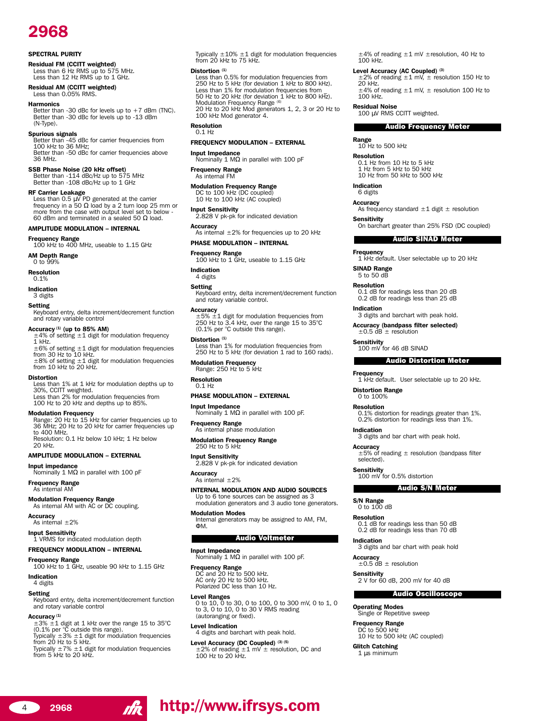#### **SPECTRAL PURITY**

**Residual FM (CCITT weighted)** Less than 6 Hz RMS up to 575 MHz. Less than 12 Hz RMS up to 1 GHz.

**Residual AM (CCITT weighted)** Less than 0.05% RMS.

#### **Harmonics**

Better than -30 dBc for levels up to +7 dBm (TNC). Better than -30 dBc for levels up to -13 dBm (N-Type).

**Spurious signals** Better than -45 dBc for carrier frequencies from 100 kHz to 36 MHz; Better than -50 dBc for carrier frequencies above 36 MHz.

**SSB Phase Noise (20 kHz offset)** Better than -114 dBc/Hz up to 575 MHz Better than -108 dBc/Hz up to 1 GHz

**RF Carrier Leakage** Less than 0.5 µV PD generated at the carrier frequency in a 50 Ω load by a 2 turn loop 25 mm or more from the case with output level set to below - 60 dBm and terminated in a sealed 50  $\Omega$  load.

#### **AMPLITUDE MODULATION - INTERNAL**

**Frequency Range** 100 kHz to 400 MHz, useable to 1.15 GHz **AM Depth Range**

 $0 \text{ to } 99\%$ 

**Resolution**

0.1%

**Indication** 3 digits

#### **Setting**

Keyboard entry, delta increment/decrement function and rotary variable control

### **Accuracy (1) (up to 85% AM)**

 $\pm$ 4% of setting  $\pm$ 1 digit for modulation frequency 1 kHz.  $\pm 6$ % of setting  $\pm 1$  digit for modulation frequencies

from 30 Hz to 10 kHz. ±8% of setting ±1 digit for modulation frequencies from 10 kHz to 20 kHz.

#### **Distortion**

Less than 1% at 1 kHz for modulation depths up to 30%, CCITT weighted. Less than 2% for modulation frequencies from

100 Hz to 20 kHz and depths up to 85%.

**Modulation Frequency** Range: 20 Hz to 15 kHz for carrier frequencies up to 36 MHz; 20 Hz to 20 kHz for carrier frequencies up to 400 MHz. Resolution: 0.1 Hz below 10 kHz; 1 Hz below 20 kHz.

#### **AMPLITUDE MODULATION - EXTERNAL**

**Input impedance**

Nominally 1 MΩ in parallel with 100 pF **Frequency Range**

As internal AM

**Modulation Frequency Range** As internal AM with AC or DC coupling.

**Accuracy** As internal  $\pm 2\%$ 

**Input Sensitivity** 1 VRMS for indicated modulation depth

### **FREQUENCY MODULATION - INTERNAL**

**Frequency Range**

100 kHz to 1 GHz, useable 90 kHz to 1.15 GHz **Indication**

4 digits

#### **Setting**

Keyboard entry, delta increment/decrement function and rotary variable control

# **Accuracy (1)**

±3% ±1 digit at 1 kHz over the range 15 to 35°C (0.1% per °C outside this range). Typically ±3% ±1 digit for modulation frequencies from 20 Hz to 5 kHz. Typically ±7% ±1 digit for modulation frequencies from 5 kHz to 20 kHz.

Typically ±10% ±1 digit for modulation frequencies from 20 kHz to 75 kHz.

# **Distortion (1)**

Less than 0.5% for modulation frequencies from 250 Hz to 5 kHz (for deviation 1 kHz to 800 kHz). Less than 1% for modulation frequencies from<br>50 Hz to 20 kHz (for deviation 1 kHz to 800 kHz).<br>Modulation Frequency Range <sup>(6)</sup> 20 Hz to 20 kHz Mod generators 1, 2, 3 or 20 Hz to 100 kHz Mod generator 4.

**Resolution** 0.1 Hz

#### **FREQUENCY MODULATION - EXTERNAL**

**Input Impedance** Nominally 1 MΩ in parallel with 100 pF

**Frequency Range** As internal FM

**Modulation Frequency Range** DC to 100 kHz (DC coupled) 10 Hz to 100 kHz (AC coupled)

**Input Sensitivity** 2.828 V pk-pk for indicated deviation

**Accuracy**

As internal  $\pm 2\%$  for frequencies up to 20 kHz **PHASE MODULATION - INTERNAL** 

**Frequency Range** 100 kHz to 1 GHz, useable to 1.15 GHz

**Indication** 4 digits

#### **Setting**

Keyboard entry, delta increment/decrement function and rotary variable control.

#### **Accuracy**

±5% ±1 digit for modulation frequencies from 250 Hz to 3.4 kHz, over the range 15 to 35°C (0.1% per °C outside this range).

#### **Distortion (1)**

Less than 1% for modulation frequencies from 250 Hz to 5 kHz (for deviation 1 rad to 160 rads).

**Modulation Frequency** Range: 250 Hz to 5 kHz

**Resolution** 0.1 Hz

#### **PHASE MODULATION - EXTERNAL**

**Input Impedance** Nominally 1 MΩ in parallel with 100 pF.

**Frequency Range** As internal phase modulation

**Modulation Frequency Range** 250 Hz to 5 kHz

**Input Sensitivity** 2.828 V pk-pk for indicated deviation

**Accuracy** As internal  $\pm 2\%$ 

**INTERNAL MODULATION AND AUDIO SOURCES**

Up to 6 tone sources can be assigned as 3 modulation generators and 3 audio tone generators.

#### **Modulation Modes**

Internal generators may be assigned to AM, FM, ΦM.

#### Audio Voltmeter

#### **Input Impedance**

Nominally 1 MΩ in parallel with 100 pF.

**Frequency Range**<br>
DC and 20 Hz to 500 kHz.<br>
AC only 20 Hz to 500 kHz.<br>
Polarized DC less than 10 Hz.

**Level Ranges** 0 to 10, 0 to 30, 0 to 100, 0 to 300 mV, 0 to 1, 0 to 3, 0 to 10, 0 to 30 V RMS reading (autoranging or fixed).

### **Level Indication**

<sup>4</sup> **<sup>2968</sup> http://www.ifrsys.com**

4 digits and barchart with peak hold.

Level Accuracy (DC Coupled) <sup>(3) (5)</sup><br>±2% of reading ±1 mV ± resolution, DC and 100 Hz to 20 kHz.

±4% of reading ±1 mV ±resolution, 40 Hz to 100 kHz.

# **Level Accuracy (AC Coupled) (3)**

±2% of reading ±1 mV, ± resolution 150 Hz to 20 kHz.  $\pm$ 4% of reading  $\pm$ 1 mV,  $\pm$  resolution 100 Hz to 100 kHz.

**Residual Noise**<br>100 μV RMS CCITT weighted.

#### Audio Frequency Meter

**Range**

10 Hz to 500 kHz

#### **Resolution**

0.1 Hz from 10 Hz to 5 kHz 1 Hz from 5 kHz to 50 kHz 10 Hz from 50 kHz to 500 kHz

**Indication** 6 digits

**Sensitivity**

**Frequency**

**Indication**

**Sensitivity**

**Frequency**

**Indication**

selected).

**S/N Range**<br>0 to 100 dB **Resolution**

**Indication**

**Accuracy** ±0.5 dB ± resolution

**Operating Modes** Single or Repetitive sweep

**Frequency Range** DC to 500 kHz

**Glitch Catching** 1 µs minimum

**Distortion Range** 0 to 100% **Resolution**

**SINAD Range** 5 to 50 dB **Resolution**

**Accuracy** As frequency standard ±1 digit ± resolution

On barchart greater than 25% FSD (DC coupled)

Audio SINAD Meter

1 kHz default. User selectable up to 20 kHz

0.1 dB for readings less than 20 dB 0.2 dB for readings less than 25 dB

3 digits and barchart with peak hold. **Accuracy (bandpass filter selected)** ±0.5 dB ± resolution

1 kHz default. User selectable up to 20 kHz.

Audio Distortion Meter

0.1% distortion for readings greater than 1%. 0.2% distortion for readings less than 1%.

Audio S/N Meter

3 digits and bar chart with peak hold. **Accuracy** ±5% of reading ± resolution (bandpass filter

0.1 dB for readings less than 50 dB 0.2 dB for readings less than 70 dB

3 digits and bar chart with peak hold

Audio Oscilloscope

**Sensitivity** 2 V for 60 dB, 200 mV for 40 dB

10 Hz to 500 kHz (AC coupled)

**Sensitivity** 100 mV for 0.5% distortion

100 mV for 46 dB SINAD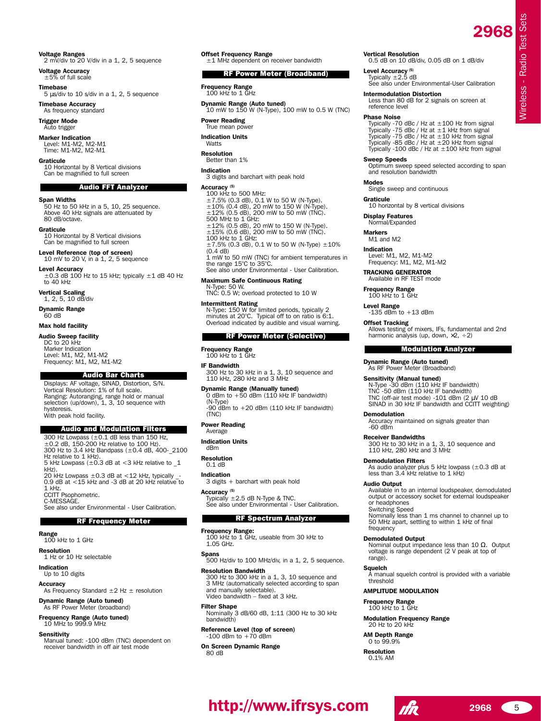Wireless - Radio Test Sets

**Nireless - Radio Test Sets** 

**Voltage Ranges** 2 mV/div to 20 V/div in a 1, 2, 5 sequence

**Voltage Accuracy**  $±5%$  of full scale

**Timebase**

5 µs/div to 10 s/div in a 1, 2, 5 sequence **Timebase Accuracy**

As frequency standard

**Trigger Mode** Auto trigger

**Marker Indication**

Level: M1-M2, M2-M1 Time: M1-M2, M2-M1 **Graticule**

10 Horizontal by 8 Vertical divisions Can be magnified to full screen

#### Audio FFT Analyzer

**Span Widths**

50 Hz to 50 kHz in a 5, 10, 25 sequence. Above 40 kHz signals are attenuated by 80 dB/octave.

**Graticule** 10 Horizontal by 8 Vertical divisions Can be magnified to full screen

**Level Reference (top of screen)** 10 mV to 20 V, in a 1, 2, 5 sequence

**Level Accuracy**<br>
±0.3 dB 100 Hz to 15 kHz; typically ±1 dB 40 Hz<br>to 40 kHz

**Vertical Scaling** 1, 2, 5, 10 dB/div

**Dynamic Range**

60 dB

### **Max hold facility**

**Audio Sweep facility**

DC to 20 kHz Marker Indication Level: M1, M2, M1-M2 Frequency: M1, M2, M1-M2

### Audio Bar Charts

Displays: AF voltage, SINAD, Distortion, S/N. Vertical Resolution: 1% of full scale. Ranging: Autoranging, range hold or manual selection (up/down), 1, 3, 10 sequence with hysteresis. With peak hold facility.

#### Audio and Modulation Filters

300 Hz Lowpass (±0.1 dB less than 150 Hz, ±0.2 dB, 150-200 Hz relative to 100 Hz). 300 Hz to 3.4 kHz Bandpass (±0.4 dB, 400-\_2100 Hz relative to 1 kHz). 5 kHz Lowpass  $(\pm 0.3$  dB at <3 kHz relative to  $1$ kHz).  $20$  kHz Lowpass  $\pm 0.3$  dB at  $< 12$  kHz, typically 0.9 dB at <15 kHz and -3 dB at 20 kHz relative to 1 kHz. CCITT Psophometric. C-MESSAGE. See also under Environmental - User Calibration. RF Frequency Meter

**Range** 100 kHz to 1 GHz

**Resolution**

1 Hz or 10 Hz selectable **Indication**

Up to 10 digits

#### **Accuracy**

As Frequency Standard  $\pm 2$  Hz  $\pm$  resolution

**Dynamic Range (Auto tuned)** As RF Power Meter (broadband)

# **Frequency Range (Auto tuned)** 10 MHz to 999.9 MHz

#### **Sensitivity**

Manual tuned: -100 dBm (TNC) dependent on receiver bandwidth in off air test mode

**Offset Frequency Range** ±1 MHz dependent on receiver bandwidth

#### RF Power Meter (Broadband)

**Frequency Range** 100 kHz to 1 GHz

**Dynamic Range (Auto tuned)** 10 mW to 150 W (N-Type), 100 mW to 0.5 W (TNC)

**Power Reading** True mean power

**Indication Units**

Watts

**Resolution**

# Better than 1%

**Indication** 3 digits and barchart with peak hold

#### **Accuracy (5)**

100 kHz to 500 MHz: ±7.5% (0.3 dB), 0.1 W to 50 W (N-Type). ±10% (0.4 dB), 20 mW to 150 W (N-Type). ±12% (0.5 dB), 200 mW to 50 mW (TNC). 500 MHz to 1 GHz: ±12% (0.5 dB), 20 mW to 150 W (N-Type). ±15% (0.6 dB), 200 mW to 50 mW (TNC). 100 kHz to 1 GHz:  $\pm$ 7.5% (0.3 dB), 0.1 W to 50 W (N-Type)  $\pm$ 10%  $(0.4$  dB) 1 mW to 50 mW (TNC) for ambient temperatures in the range 15°C to 35°C. See also under Environmental - User Calibration. **Maximum Safe Continuous Rating** N-Type: 50 W. TNC: 0.5 W; overload protected to 10 W

**Intermittent Rating** N-Type: 150 W for limited periods, typically 2 minutes at 20°C. Typical off to on ratio is 6:1. Overload indicated by audible and visual warning.

# # RF Power Meter (Selective)

# **Frequency Range** 100 kHz to 1 GHz

**IF Bandwidth**

300 Hz to 30 kHz in a 1, 3, 10 sequence and 110 kHz, 280 kHz and 3 MHz

**Dynamic Range (Manually tuned)** 0 dBm to +50 dBm (110 kHz IF bandwidth)

(N-Type)  $-90$  dBm to  $+20$  dBm (110 kHz IF bandwidth) (TNC)

#### **Power Reading** Average

**Indication Units**

dBm

**Resolution** 0.1 dB

# **Indication**

3 digits + barchart with peak hold

### **Accuracy (5)**

 $T$ ypically  $\pm$  2.5 dB N-Type & TNC. See also under Environmental - User Calibration.

#### RF Spectrum Analyzer

#### **Frequency Range:**

100 kHz to 1 GHz, useable from 30 kHz to 1.05 GHz.

#### **Spans**

500 Hz/div to 100 MHz/div, in a 1, 2, 5 sequence. **Resolution Bandwidth**

300 Hz to 300 kHz in a 1, 3, 10 sequence and 3 MHz (automatically selected according to span and manually selectable).<br>Video bandwidth – fixed at 3 kHz.

**Filter Shape** Nominally 3 dB/60 dB, 1:11 (300 Hz to 30 kHz bandwidth)

# **Reference Level (top of screen)** -100 dBm to +70 dBm

**On Screen Dynamic Range**

80 dB

# **Vertical Resolution** 0.5 dB on 10 dB/div, 0.05 dB on 1 dB/div

**Level Accuracy (5)** Typically ±2.5 dB

See also under Environmental-User Calibration

## **Intermodulation Distortion**

Less than 80 dB for 2 signals on screen at reference level

#### **Phase Noise**

Typically -70 dBc / Hz at ±100 Hz from signal Typically -75 dBc / Hz at ±1 kHz from signal Typically -75 dBc / Hz at ±10 kHz from signal Typically -85 dBc / Hz at ±20 kHz from signal Typically -100 dBc / Hz at ±100 kHz from signal

#### **Sweep Speeds**

Optimum sweep speed selected according to span and resolution bandwidth

#### **Modes**

Single sweep and continuous

**Graticule**

10 horizontal by 8 vertical divisions

**Display Features**

### Normal/Expanded

**Markers** M1 and M2

#### **Indication**

Level: M1, M2, M1-M2 Frequency: M1, M2, M1-M2

**TRACKING GENERATOR** Available in RF TEST mode

**Frequency Range** 100 kHz to 1 GHz

**Level Range**  $-135$  dBm to  $+13$  dBm

**Dynamic Range (Auto tuned)** As RF Power Meter (Broadband) **Sensitivity (Manual tuned)**<br>N-Type -30 dBm (110 kHz IF bandwidth) TNC -50 dBm (110 kHz IF bandwidth)

**Demodulation**

**Demodulation Filters**

-60 dBm **Receiver Bandwidths**

**Audio Output**

frequency **Demodulated Output**

range). **Squelch**

threshold

**http://www.ifrsys.com** 

**AMPLITUDE MODULATION Frequency Range** 100 kHz to 1 GHz

**Modulation Frequency Range** 20 Hz to 20 kHz **AM Depth Range** 0 to 99.9% **Resolution** 0.1% AM

or headphones Switching Speed

**Offset Tracking** Allows testing of mixers, IFs, fundamental and 2nd harmonic analysis (up, down,  $\times 2, \div 2$ ) Modulation Analyzer

TNC (off-air test mode) -101 dBm (2 µV 10 dB SINAD in 30 kHz IF bandwidth and CCITT weighting)

Accuracy maintained on signals greater than

300 Hz to 30 kHz in a 1, 3, 10 sequence and 110 kHz, 280 kHz and 3 MHz

As audio analyzer plus 5 kHz lowpass (±0.3 dB at less than 3.4 kHz relative to 1 kHz)

Available in to an internal loudspeaker, demodulated output or accessory socket for external loudspeaker

Nominally less than 1 ms channel to channel up to 50 MHz apart, settling to within 1 kHz of final

Nominal output impedance less than 10 Ω. Output voltage is range dependent (2 V peak at top of

A manual squelch control is provided with a variable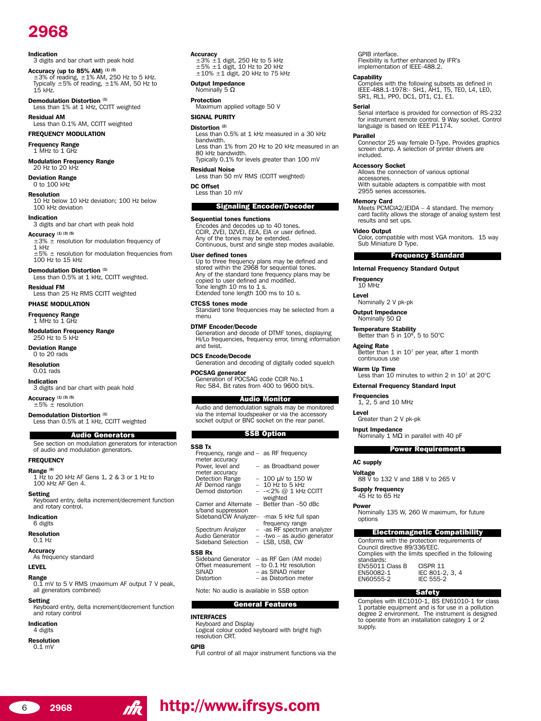#### **Indication**

3 digits and bar chart with peak hold

**Accuracy (up to 85% AM) (1) (5)** ±3% of reading, ±1% AM, 250 Hz to 5 kHz. Typically ±5% of reading, ±1% AM, 50 Hz to 15 kHz.

**Demodulation Distortion (1)** Less than 1% at 1 kHz, CCITT weighted

**Residual AM** Less than 0.1% AM, CCITT weighted

**FREQUENCY MODULATION Frequency Range**

1 MHz to 1 GHz

**Modulation Frequency Range** 20 Hz to 20 kHz

**Deviation Range** 0 to 100 kHz

**Resolution** 10 Hz below 10 kHz deviation; 100 Hz below 100 kHz deviation

**Indication** 3 digits and bar chart with peak hold

**Accuracy (1) (3) (5)**  $\pm$ 3%  $\pm$  resolution for modulation frequency of  $\frac{1}{1}$  kHz

 $\pm 5\%$   $\pm$  resolution for modulation frequencies from  $100$  Hz to  $15$  kHz

**Demodulation Distortion (1)** Less than 0.5% at 1 kHz, CCITT weighted.

**Residual FM** Less than 25 Hz RMS CCITT weighted

#### **PHASE MODULATION**

**Frequency Range** 1 MHz to 1 GHz

**Modulation Frequency Range** 250 Hz to 5 kHz

**Deviation Range** 0 to 20 rads

**Resolution** 0.01 rads

**Indication**

3 digits and bar chart with peak hold

**Accuracy (1) (3) (5)**  $+5% +$  resolution

**Demodulation Distortion (1)** Less than 0.5% at 1 kHz, CCITT weighted

### Audio Generators

See section on modulation generators for interaction of audio and modulation generators.

# **FREQUENCY**

**Range (6)** 1 Hz to 20 kHz AF Gens 1, 2 & 3 or 1 Hz to 100 kHz AF Gen 4.

#### **Setting**

Keyboard entry, delta increment/decrement function and rotary control.

**Indication** 6 digits

**Resolution**

0.1 Hz

**Accuracy** As frequency standard

#### **LEVEL**

**Range** 0.1 mV to 5 V RMS (maximum AF output 7 V peak, all generators combined)

# **Setting**

Keyboard entry, delta increment/decrement function and rotary control

#### **Indication** 4 digits

**Resolution**

0.1 mV

**Accuracy**  $\pm$ 3%  $\pm$ 1 digit, 250 Hz to 5 kHz  $±5\% ±1$  digit, 10 Hz to 20 kHz  $\pm 10\%$   $\pm 1$  digit, 20 kHz to 75 kHz

#### **Output Impedance** Nominally 5 Ω

**Protection**

Maximum applied voltage 50 V

#### **SIGNAL PURITY**

### **Distortion (2)**

Less than 0.5% at 1 kHz measured in a 30 kHz bandwidth. Less than 1% from 20 Hz to 20 kHz measured in an

80 kHz bandwidth. Typically 0.1% for levels greater than 100 mV

#### **Residual Noise**

Less than 50 mV RMS (CCITT weighted)

**DC Offset** Less than 10 mV

#### Signaling Encoder/Decoder

#### **Sequential tones functions**

Encodes and decodes up to 40 tones. CCIR, ZVEI, DZVEI, EEA, EIA or user defined. Any of the tones may be extended. Continuous, burst and single step modes available.

#### **User defined tones**

Up to three frequency plans may be defined and stored within the 2968 for sequential tones. Any of the standard tone frequency plans may be copied to user defined and modified. Tone length 10 ms to 1 s. Extended tone length 100 ms to 10 s.

**CTCSS tones mode**

Standard tone frequencies may be selected from a menu

#### **DTMF Encoder/Decode**

Generation and decode of DTMF tones, displaying Hi/Lo frequencies, frequency error, timing information and twist.

#### **DCS Encode/Decode** Generation and decoding of digitally coded squelch

**SSB Tx**

**POCSAG generator** Generation of POCSAG code CCIR No.1

Rec 584. Bit rates from 400 to 9600 bit/s.

#### Audio Monitor

Audio and demodulation signals may be monitored via the internal loudspeaker or via the accessory socket output or BNC socket on the rear panel.

### SSB Option

| SB Tx                                       |                                               |
|---------------------------------------------|-----------------------------------------------|
| Frequency, range and - as RF frequency      |                                               |
| meter accuracy                              |                                               |
| Power, level and                            | - as Broadband power                          |
| meter accuracy                              |                                               |
| Detection Range                             | $-100 \mu V$ to 150 W                         |
| AF Demod range                              | $-10$ Hz to 5 kHz                             |
| Demod distortion                            | $-$ -<2% @ 1 kHz CCITT                        |
|                                             | weighted                                      |
| Carrier and Alternate - Better than -50 dBc |                                               |
| s/band suppression                          |                                               |
| Sideband/CW Analyzer- -max 5 kHz full span  |                                               |
| Spectrum Analyzer                           | frequency range<br>- -as RF spectrum analyzer |
| Audio Generator                             | - -two - as audio generator                   |
| Sideband Selection - LSB, USB, CW           |                                               |
|                                             |                                               |
| SB Rx                                       |                                               |
|                                             | Sideband Generator - as RF Gen (AM mode)      |
| Offset measurement - to 0.1 Hz resolution   |                                               |

**SSB Rx** Offset measurement  $-$  to 0.1 Hz resolution SINAD - as SINAD meter<br>Distortion - as Distortion me - as Distortion meter

Note: No audio is available in SSB option

#### General Features

#### **INTERFACES**

Keyboard and Display Logical colour coded keyboard with bright high resolution CRT.

#### **GPIB**

<sup>6</sup> **<sup>2968</sup> http://www.ifrsys.com**

Full control of all major instrument functions via the

GPIB interface. Flexibility is further enhanced by IFRís implementation of IEEE-488.2.

#### **Capability**

Complies with the following subsets as defined in IEEE-488.1-1978:- SH1, AH1, T5, TE0, L4, LE0, SR1, RL1, PP0, DC1, DT1, C1, E1.

#### **Serial**

Serial interface is provided for connection of RS-232 for instrument remote control. 9 Way socket. Control language is based on IEEE P1174.

#### **Parallel**

Connector 25 way female D-Type. Provides graphics screen dump. A selection of printer drivers are included.

#### **Accessory Socket**

Allows the connection of various optional accessories.

With suitable adapters is compatible with most 2955 series accessories.

**Memory Card**<br>Meets PCMCIA2/JEIDA - 4 standard. The memory card facility allows the storage of analog system test results and set ups.

#### **Video Output**

Color, compatible with most VGA monitors. 15 way Sub Miniature D Type.

Less than 10 minutes to within 2 in 10<sup>7</sup> at 20°C

#### Frequency Standard

#### **Internal Frequency Standard Output**

**Frequency**  $10$  MHz

# **Level**

Nominally 2 V pk-pk

**Output Impedance**

#### Nominally 50 Ω

**Temperature Stability** Better than  $5$  in  $10^8$ ,  $5$  to  $50^{\circ}$ C

**External Frequency Standard Input**

**Input Impedance** Nominally 1 MΩ in parallel with 40 pF

**Voltage** 88 V to 132 V and 188 V to 265 V

Council directive 89/336/EEC.

EN55011 Class B CISPR 11<br>EN50082-1 IFC 801-2

Nominally 135 W, 260 W maximum, for future

Conforms with the protection requirements of

Complies with the limits specified in the following

Electromagnetic Compatibility

Power Requirements

Complies with IEC1010-1, BS EN61010-1 for class 1 portable equipment and is for use in a pollution degree 2 environment. The instrument is designed to operate from an installation category 1 or 2

Safety

IEC 801-2, 3, 4<br>IEC 555-2

Greater than 2 V pk-pk

#### **Ageing Rate** Better than  $1$  in  $10<sup>7</sup>$  per year, after  $1$  month continuous use

**Warm Up Time**

**Frequencies** 1, 2, 5 and 10 MHz

**Level**

**AC supply**

**Power**

options

standards:

EN60555-2

supply.

**Supply frequency** 45 Hz to 65 Hz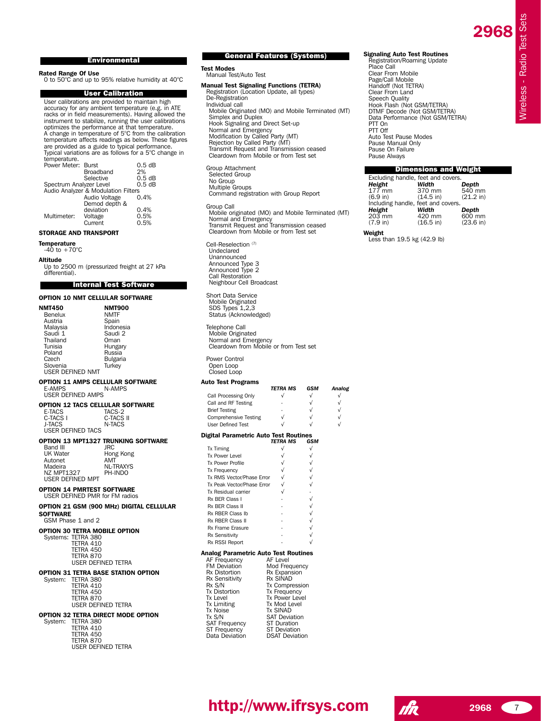Wireless - Radio Test Sets

Wireless - Radio Test Sets

#### Environmental

**Rated Range Of Use** 0 to 50°C and up to 95% relative humidity at 40°C

### User Calibration

User calibrations are provided to maintain high<br>accuracy for any ambient temperature (e.g. in ATE<br>racks or in field measurements). Having allowed the<br>instrument to stabilize, running the user calibrations<br>optimizes the per A change in temperature of 5°C from the calibration temperature affects readings as below. These figures are provided as a guide to typical performance. Typical variations are as follows for a 5°C change in temperature.

| Power Meter: Burst                  |               | 0.5dB |
|-------------------------------------|---------------|-------|
|                                     | Broadband     | 2%    |
|                                     | Selective     | 0.5dB |
| 0.5 dB<br>Spectrum Analyzer Level   |               |       |
| Audio Analyzer & Modulation Filters |               |       |
|                                     | Audio Voltage | 0.4%  |
|                                     | Demod depth & |       |
|                                     | deviation     | 0.4%  |
| Multimeter:                         | Voltage       | 0.5%  |
|                                     | Current       | 0.5%  |

#### **STORAGE AND TRANSPORT**

# **Temperature** -40 to +70°C

**Altitude**

Up to 2500 m (pressurized freight at 27 kPa differential).

# Internal Test Software

**OPTION 10 NMT CELLULAR SOFTWARE**

| <b>NMT450</b><br>Benelux<br>Austria<br>Malaysia<br>Saudi 1<br>Thailand<br>Tunisia<br>Poland<br>Czech<br>Slovenia<br><b>USER DEFINED NMT</b> | <b>NMT900</b><br><b>NMTF</b><br>Spain<br>Indonesia<br>Saudi 2<br>Oman<br>Hungary<br>Russia<br>Bulgaria<br>Turkev |
|---------------------------------------------------------------------------------------------------------------------------------------------|------------------------------------------------------------------------------------------------------------------|
| <b>OPTION 11 AMPS CELLULAR SOFTWARE</b><br>E-AMPS<br><b>USER DEFINED AMPS</b>                                                               | N-AMPS                                                                                                           |
| OPTION 12 TACS CELLULAR SOFTWARE<br>E-TACS<br>C-TACS I<br><b>J-TACS</b><br><b>USER DEFINED TACS</b>                                         | TACS-2<br>C-TACS II<br>N-TACS                                                                                    |
| Band III<br><b>UK Water</b><br>Autonet<br>Madeira<br><b>NZ MPT1327</b><br>USER DEFINED MPT                                                  | OPTION 13 MPT1327 TRUNKING SOFTWARE<br><b>JRC</b><br>Hong Kong<br>AMT<br><b>NL-TRAXYS</b><br>PH-INDO             |
| <b>OPTION 14 PMRTEST SOFTWARE</b><br>USER DEFINED PMR for FM radios                                                                         |                                                                                                                  |
| <b>SOFTWARE</b><br>GSM Phase 1 and 2                                                                                                        | OPTION 21 GSM (900 MHz) DIGITAL CELLULAR                                                                         |
| <b>OPTION 30 TETRA MOBILE OPTION</b><br>Systems: TETRA 380<br>TETRA 410<br>TETRA 450<br>TETRA 870<br><b>USER DEFINED TETRA</b>              |                                                                                                                  |
| OPTION 31 TETRA BASE STATION OPTION<br>TETRA 380<br>Svstem:<br>TETRA 410<br>TETRA 450<br>TETRA 870<br><b>USER DEFINED TETRA</b>             |                                                                                                                  |
| OPTION 32 TETRA DIRECT MODE OPTION<br>TETRA 380<br>System:<br>TETRA 410<br>TETRA 450<br>TETRA 870<br><b>USER DEFINED TETRA</b>              |                                                                                                                  |

### General Features (Systems)

**Test Modes** Manual Test/Auto Test

**Manual Test Signaling Functions (TETRA)** Registration (Location Update, all types) De-Registration Individual call Mobile Originated (MO) and Mobile Terminated (MT) Simplex and Duplex Hook Signaling and Direct Set-up Normal and Emergency Modification by Called Party (MT) Rejection by Called Party (MT) Transmit Request and Transmission ceased Cleardown from Mobile or from Test set Group Attachment

Selected Group No Group Multiple Groups Command registration with Group Report

Group Call Mobile originated (MO) and Mobile Terminated (MT) Normal and Emergency Transmit Request and Transmission ceased Cleardown from Mobile or from Test set

- Cell-Reselection (7)<br>Undeclared Unannounced Announced Type 3 Announced Type 2 Call Restoration Neighbour Cell Broadcast
- Short Data Service Mobile Originated SDS Types 1,2,3 Status (Acknowledged)

Telephone Call Mobile Originated Normal and Emergency Cleardown from Mobile or from Test set Power Control Open Loop

Closed Loop

# **Auto Test Programs**

| Auto Test Fiograms                    |                                 |            |           |
|---------------------------------------|---------------------------------|------------|-----------|
|                                       | TETRA MS                        | GSM        | Analog    |
| Call Processing Only                  | $\sqrt{}$                       | $\sqrt{}$  | √         |
| Call and RF Testing                   |                                 | √          | $\sqrt{}$ |
| <b>Brief Testing</b>                  |                                 | $\sqrt{}$  | $\sqrt{}$ |
| <b>Comprehensive Testing</b>          | $\sqrt{}$                       |            | $\sqrt{}$ |
| <b>User Defined Test</b>              |                                 |            |           |
| Digital Parametric Auto Test Routines |                                 |            |           |
|                                       | <b>TETRA MS</b>                 | GSM        |           |
| <b>Tx Timing</b>                      | $\sqrt{}$                       | $\sqrt{}$  |           |
| Tx Power I evel                       | $\sqrt{}$                       |            |           |
| <b>Tx Power Profile</b>               |                                 |            |           |
| <b>Tx Frequency</b>                   |                                 |            |           |
| Tx RMS Vector/Phase Error             | $\frac{1}{2}$                   |            |           |
| Tx Peak Vector/Phase Error            |                                 |            |           |
| Tx Residual carrier                   | $\sqrt{ }$                      |            |           |
| Rx BFR Class I                        |                                 | $\sqrt{ }$ |           |
| Rx BFR Class II                       |                                 |            |           |
| Rx RBER Class Ib                      |                                 |            |           |
| Rx RBFR Class II                      |                                 |            |           |
| Rx Frame Erasure                      |                                 |            |           |
| Rx Sensitivity                        |                                 |            |           |
| Rx RSSI Report                        |                                 |            |           |
| Analog Parametric Auto Test Routines  |                                 |            |           |
| AF Frequency                          | AF Level                        |            |           |
| FM Deviation                          | Mod Frequency                   |            |           |
| Rx Distortion                         | Rx Expansion<br><b>Rx SINAD</b> |            |           |
| Rx Sensitivity<br>Rx S/N              | Tx Compression                  |            |           |
| <b>Tx Distortion</b>                  | Tx Frequency                    |            |           |
| <b>Tx Level</b>                       | <b>Tx Power Level</b>           |            |           |
| <b>Tx Limiting</b>                    | Tx Mod Level                    |            |           |
| <b>Tx Noise</b>                       | <b>Tx SINAD</b>                 |            |           |
| Tx S/N                                | <b>SAT Deviation</b>            |            |           |
| SAT Frequency                         | <b>ST Duration</b>              |            |           |
| ST Frequency                          | <b>ST Deviation</b>             |            |           |
| Data Deviation                        | <b>DSAT Deviation</b>           |            |           |

**Signaling Auto Test Routines** Registration/Roaming Update Place Call Clear From Mobile Page/Call Mobile Handoff (Not TETRA) Clear From Land Speech Quality Hook Flash (Not GSM/TETRA) DTMF Decode (Not GSM/TETRA) Data Performance (Not GSM/TETRA) PTT On PTT Off Auto Test Pause Modes Pause Manual Only Pause On Failure Pause Always

#### Dimensions and Weight

| Excluding handle, feet and covers.<br>Height | Width               | Depth        |
|----------------------------------------------|---------------------|--------------|
| 177 mm                                       | 370 mm              | 540 mm       |
| (6.9 in)                                     | $(14.5 \text{ in})$ | (21.2 in)    |
| Including handle, feet and covers.           |                     |              |
| Height                                       | Width               | Depth        |
| $203$ mm                                     | 420 mm              | 600 mm       |
| (7.9 in)                                     | $(16.5)$ in)        | $(23.6)$ in) |
| المعاصرة ورابا                               |                     |              |

**Weight** Less than 19.5 kg (42.9 lb)

# **<sup>2968</sup> http://www.ifrsys.com <sup>2968</sup>** <sup>7</sup>